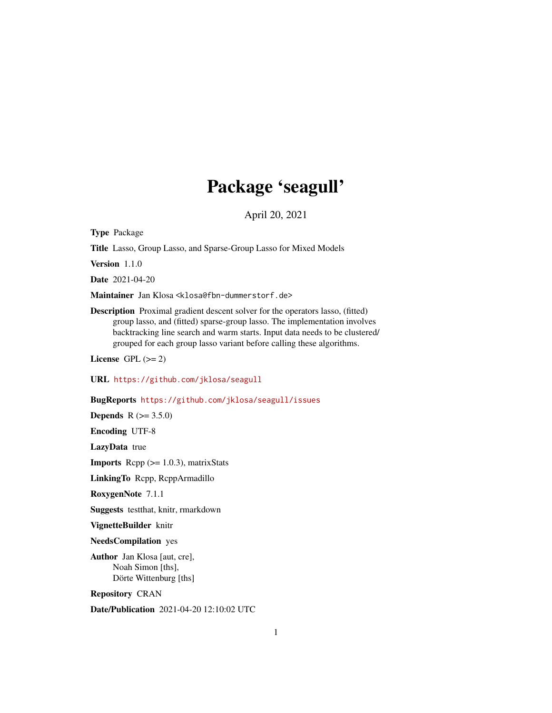# Package 'seagull'

April 20, 2021

<span id="page-0-0"></span>Type Package

Title Lasso, Group Lasso, and Sparse-Group Lasso for Mixed Models

Version 1.1.0

Date 2021-04-20

Maintainer Jan Klosa <klosa@fbn-dummerstorf.de>

Description Proximal gradient descent solver for the operators lasso, (fitted) group lasso, and (fitted) sparse-group lasso. The implementation involves backtracking line search and warm starts. Input data needs to be clustered/ grouped for each group lasso variant before calling these algorithms.

License GPL  $(>= 2)$ 

URL <https://github.com/jklosa/seagull>

BugReports <https://github.com/jklosa/seagull/issues>

**Depends** R  $(>= 3.5.0)$ 

Encoding UTF-8

LazyData true

**Imports** Rcpp  $(>= 1.0.3)$ , matrixStats

LinkingTo Rcpp, RcppArmadillo

RoxygenNote 7.1.1

Suggests testthat, knitr, rmarkdown

VignetteBuilder knitr

NeedsCompilation yes

Author Jan Klosa [aut, cre], Noah Simon [ths], Dörte Wittenburg [ths]

Repository CRAN

Date/Publication 2021-04-20 12:10:02 UTC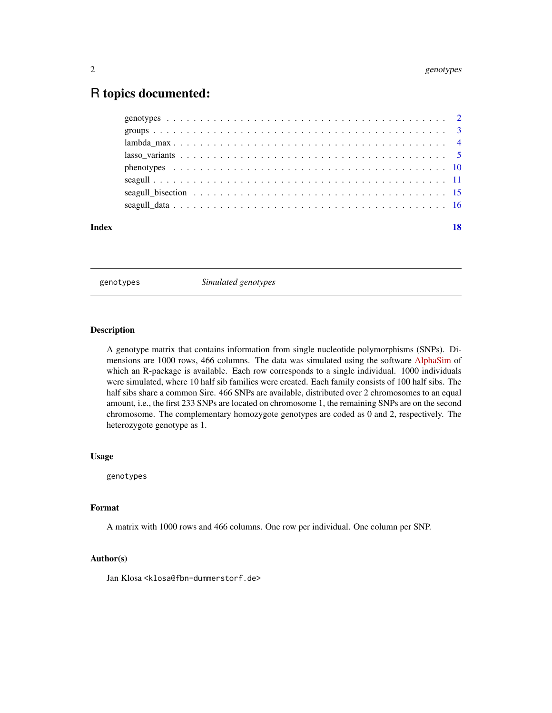# <span id="page-1-0"></span>R topics documented:

| Index |  |
|-------|--|
|       |  |
|       |  |
|       |  |
|       |  |
|       |  |
|       |  |
|       |  |
|       |  |

genotypes *Simulated genotypes*

#### Description

A genotype matrix that contains information from single nucleotide polymorphisms (SNPs). Dimensions are 1000 rows, 466 columns. The data was simulated using the software [AlphaSim](https://alphagenes.roslin.ed.ac.uk) of which an R-package is available. Each row corresponds to a single individual. 1000 individuals were simulated, where 10 half sib families were created. Each family consists of 100 half sibs. The half sibs share a common Sire. 466 SNPs are available, distributed over 2 chromosomes to an equal amount, i.e., the first 233 SNPs are located on chromosome 1, the remaining SNPs are on the second chromosome. The complementary homozygote genotypes are coded as 0 and 2, respectively. The heterozygote genotype as 1.

#### Usage

genotypes

# Format

A matrix with 1000 rows and 466 columns. One row per individual. One column per SNP.

# Author(s)

Jan Klosa <klosa@fbn-dummerstorf.de>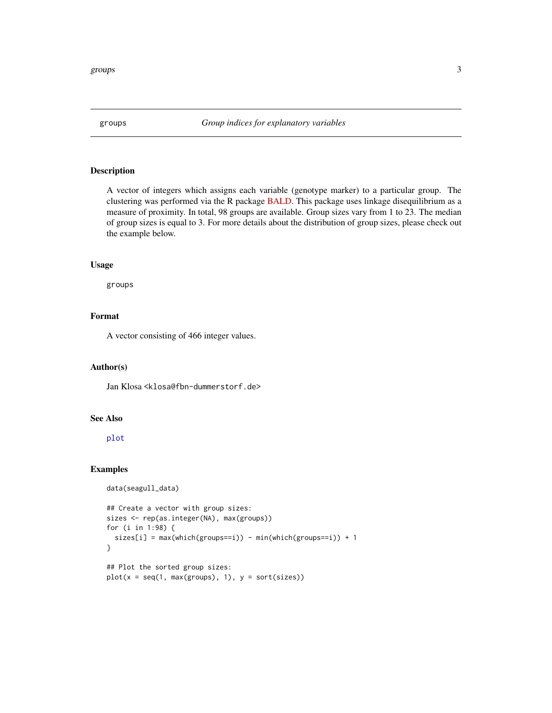<span id="page-2-1"></span><span id="page-2-0"></span>

#### Description

A vector of integers which assigns each variable (genotype marker) to a particular group. The clustering was performed via the R package [BALD.](http://www.math-evry.cnrs.fr/publications/logiciels) This package uses linkage disequilibrium as a measure of proximity. In total, 98 groups are available. Group sizes vary from 1 to 23. The median of group sizes is equal to 3. For more details about the distribution of group sizes, please check out the example below.

#### Usage

groups

# Format

A vector consisting of 466 integer values.

# Author(s)

Jan Klosa <klosa@fbn-dummerstorf.de>

#### See Also

[plot](#page-0-0)

# Examples

```
data(seagull_data)
```

```
## Create a vector with group sizes:
sizes <- rep(as.integer(NA), max(groups))
for (i in 1:98) {
  sizes[i] = max(which(groups==i)) - min(which(groups==i)) + 1
}
## Plot the sorted group sizes:
plot(x = seq(1, max(groups), 1), y = sort(size))
```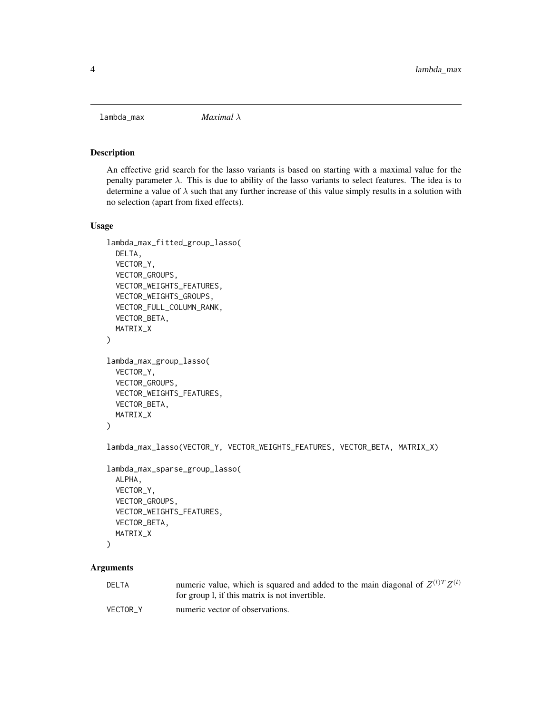<span id="page-3-1"></span><span id="page-3-0"></span>

# Description

An effective grid search for the lasso variants is based on starting with a maximal value for the penalty parameter  $\lambda$ . This is due to ability of the lasso variants to select features. The idea is to determine a value of  $\lambda$  such that any further increase of this value simply results in a solution with no selection (apart from fixed effects).

#### Usage

```
lambda_max_fitted_group_lasso(
 DELTA,
  VECTOR_Y,
  VECTOR_GROUPS,
  VECTOR_WEIGHTS_FEATURES,
  VECTOR_WEIGHTS_GROUPS,
  VECTOR_FULL_COLUMN_RANK,
  VECTOR_BETA,
 MATRIX_X
)
lambda_max_group_lasso(
  VECTOR_Y,
  VECTOR_GROUPS,
  VECTOR_WEIGHTS_FEATURES,
  VECTOR_BETA,
 MATRIX_X
)
lambda_max_lasso(VECTOR_Y, VECTOR_WEIGHTS_FEATURES, VECTOR_BETA, MATRIX_X)
lambda_max_sparse_group_lasso(
  ALPHA,
  VECTOR_Y,
  VECTOR_GROUPS,
  VECTOR_WEIGHTS_FEATURES,
  VECTOR_BETA,
  MATRIX_X
)
```
# Arguments

| DELTA           | numeric value, which is squared and added to the main diagonal of $Z^{(l)T}Z^{(l)}$ |
|-----------------|-------------------------------------------------------------------------------------|
|                 | for group l, if this matrix is not invertible.                                      |
| <b>VECTOR Y</b> | numeric vector of observations.                                                     |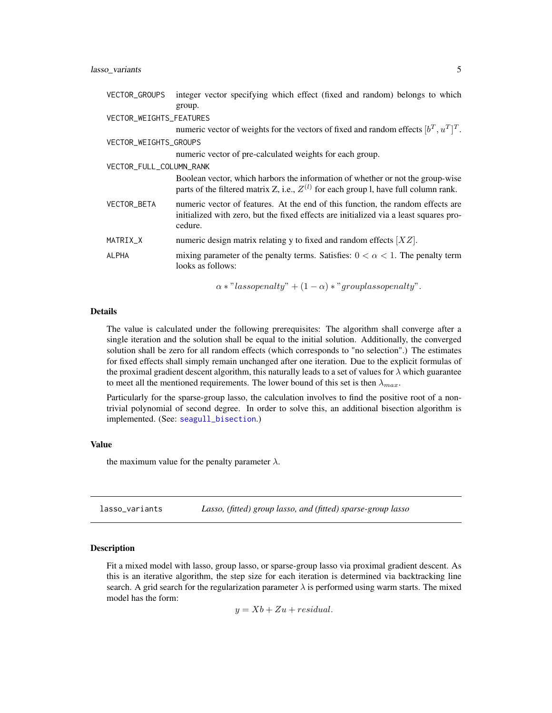<span id="page-4-0"></span>

| VECTOR_GROUPS           | integer vector specifying which effect (fixed and random) belongs to which                                                                                                          |
|-------------------------|-------------------------------------------------------------------------------------------------------------------------------------------------------------------------------------|
|                         | group.                                                                                                                                                                              |
| VECTOR_WEIGHTS_FEATURES |                                                                                                                                                                                     |
|                         | numeric vector of weights for the vectors of fixed and random effects $[b^T, u^T]^T$ .                                                                                              |
| VECTOR_WEIGHTS_GROUPS   |                                                                                                                                                                                     |
|                         | numeric vector of pre-calculated weights for each group.                                                                                                                            |
| VECTOR_FULL_COLUMN_RANK |                                                                                                                                                                                     |
|                         | Boolean vector, which harbors the information of whether or not the group-wise<br>parts of the filtered matrix Z, i.e., $Z^{(l)}$ for each group l, have full column rank.          |
| VECTOR_BETA             | numeric vector of features. At the end of this function, the random effects are<br>initialized with zero, but the fixed effects are initialized via a least squares pro-<br>cedure. |
| MATRIX_X                | numeric design matrix relating y to fixed and random effects $[XZ]$ .                                                                                                               |
| <b>ALPHA</b>            | mixing parameter of the penalty terms. Satisfies: $0 < \alpha < 1$ . The penalty term<br>looks as follows:                                                                          |
|                         |                                                                                                                                                                                     |

 $\alpha * "lassopenalty" + (1 - \alpha) * "group lassopenalty".$ 

### Details

The value is calculated under the following prerequisites: The algorithm shall converge after a single iteration and the solution shall be equal to the initial solution. Additionally, the converged solution shall be zero for all random effects (which corresponds to "no selection".) The estimates for fixed effects shall simply remain unchanged after one iteration. Due to the explicit formulas of the proximal gradient descent algorithm, this naturally leads to a set of values for  $\lambda$  which guarantee to meet all the mentioned requirements. The lower bound of this set is then  $\lambda_{max}$ .

Particularly for the sparse-group lasso, the calculation involves to find the positive root of a nontrivial polynomial of second degree. In order to solve this, an additional bisection algorithm is implemented. (See: [seagull\\_bisection](#page-14-1).)

# Value

the maximum value for the penalty parameter  $\lambda$ .

<span id="page-4-1"></span>lasso\_variants *Lasso, (fitted) group lasso, and (fitted) sparse-group lasso*

### Description

Fit a mixed model with lasso, group lasso, or sparse-group lasso via proximal gradient descent. As this is an iterative algorithm, the step size for each iteration is determined via backtracking line search. A grid search for the regularization parameter  $\lambda$  is performed using warm starts. The mixed model has the form:

 $y = Xb + Zu + residual.$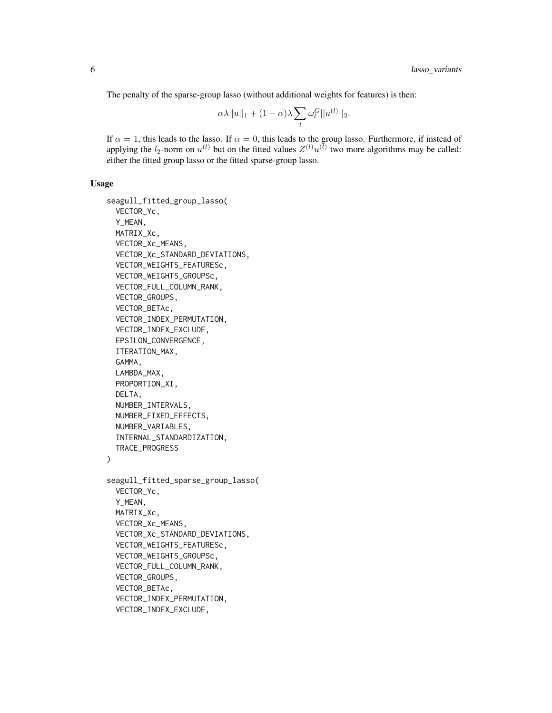The penalty of the sparse-group lasso (without additional weights for features) is then:

$$
\alpha\lambda||u||_1+(1-\alpha)\lambda\sum_l\omega_l^G||u^{(l)}||_2.
$$

If  $\alpha = 1$ , this leads to the lasso. If  $\alpha = 0$ , this leads to the group lasso. Furthermore, if instead of applying the  $l_2$ -norm on  $u^{(l)}$  but on the fitted values  $Z^{(l)}u^{(l)}$  two more algorithms may be called: either the fitted group lasso or the fitted sparse-group lasso.

### Usage

```
seagull_fitted_group_lasso(
  VECTOR_Yc,
  Y_MEAN,
 MATRIX_Xc,
  VECTOR_Xc_MEANS,
  VECTOR_Xc_STANDARD_DEVIATIONS,
  VECTOR_WEIGHTS_FEATURESc,
  VECTOR_WEIGHTS_GROUPSc,
  VECTOR_FULL_COLUMN_RANK,
  VECTOR_GROUPS,
  VECTOR_BETAc,
  VECTOR_INDEX_PERMUTATION,
  VECTOR_INDEX_EXCLUDE,
  EPSILON_CONVERGENCE,
  ITERATION_MAX,
  GAMMA,
  LAMBDA_MAX,
 PROPORTION_XI,
  DELTA,
 NUMBER_INTERVALS,
 NUMBER_FIXED_EFFECTS,
 NUMBER_VARIABLES,
  INTERNAL_STANDARDIZATION,
  TRACE_PROGRESS
)
seagull_fitted_sparse_group_lasso(
  VECTOR_Yc,
  Y_MEAN,
 MATRIX_Xc,
  VECTOR_Xc_MEANS,
  VECTOR_Xc_STANDARD_DEVIATIONS,
  VECTOR_WEIGHTS_FEATURESc,
  VECTOR_WEIGHTS_GROUPSc,
  VECTOR_FULL_COLUMN_RANK,
  VECTOR_GROUPS,
  VECTOR_BETAc,
  VECTOR_INDEX_PERMUTATION,
  VECTOR_INDEX_EXCLUDE,
```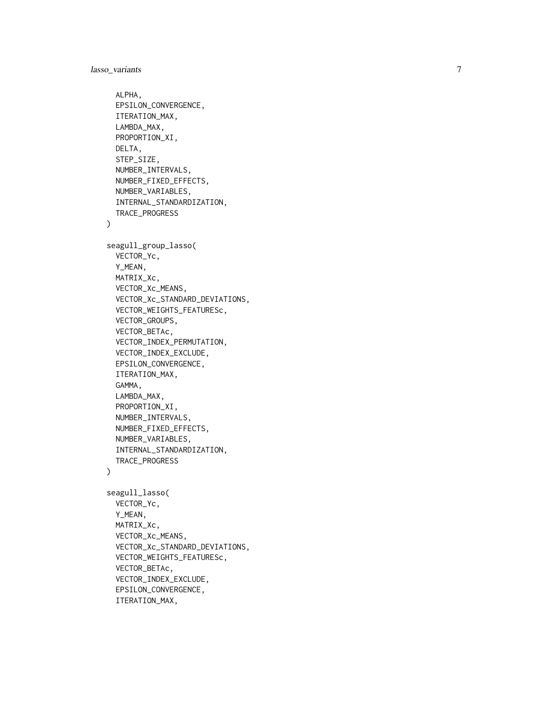```
ALPHA,
 EPSILON_CONVERGENCE,
  ITERATION_MAX,
 LAMBDA_MAX,
 PROPORTION_XI,
 DELTA,
  STEP_SIZE,
 NUMBER_INTERVALS,
 NUMBER_FIXED_EFFECTS,
 NUMBER_VARIABLES,
  INTERNAL_STANDARDIZATION,
  TRACE_PROGRESS
)
seagull_group_lasso(
  VECTOR_Yc,
  Y_MEAN,
 MATRIX_Xc,
  VECTOR_Xc_MEANS,
  VECTOR_Xc_STANDARD_DEVIATIONS,
  VECTOR_WEIGHTS_FEATURESc,
  VECTOR_GROUPS,
  VECTOR_BETAc,
  VECTOR_INDEX_PERMUTATION,
  VECTOR_INDEX_EXCLUDE,
  EPSILON_CONVERGENCE,
  ITERATION_MAX,
  GAMMA,
 LAMBDA_MAX,
 PROPORTION_XI,
 NUMBER_INTERVALS,
 NUMBER_FIXED_EFFECTS,
 NUMBER_VARIABLES,
  INTERNAL_STANDARDIZATION,
  TRACE_PROGRESS
)
seagull_lasso(
  VECTOR_Yc,
 Y_MEAN,
 MATRIX_Xc,
  VECTOR_Xc_MEANS,
  VECTOR_Xc_STANDARD_DEVIATIONS,
  VECTOR_WEIGHTS_FEATURESc,
  VECTOR_BETAc,
```
VECTOR\_INDEX\_EXCLUDE, EPSILON\_CONVERGENCE, ITERATION\_MAX,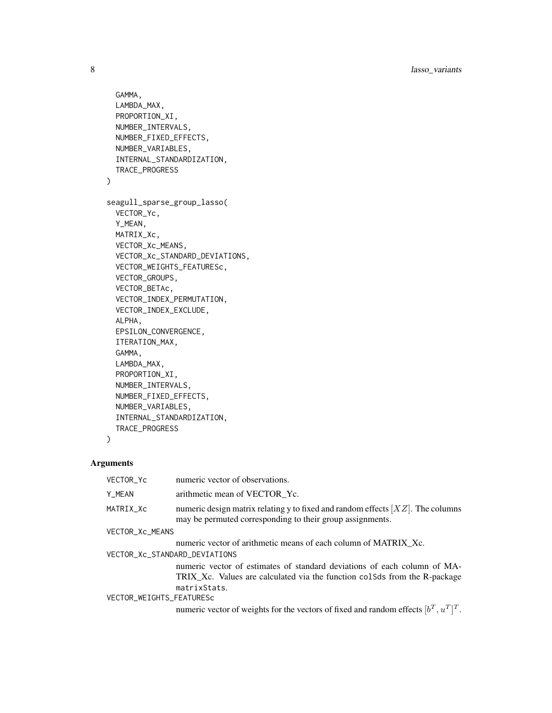```
GAMMA,
 LAMBDA_MAX,
 PROPORTION_XI,
 NUMBER_INTERVALS,
 NUMBER_FIXED_EFFECTS,
 NUMBER_VARIABLES,
  INTERNAL_STANDARDIZATION,
 TRACE_PROGRESS
)
seagull_sparse_group_lasso(
  VECTOR_Yc,
 Y_MEAN,
 MATRIX_Xc,
 VECTOR_Xc_MEANS,
  VECTOR_Xc_STANDARD_DEVIATIONS,
 VECTOR_WEIGHTS_FEATURESc,
 VECTOR_GROUPS,
 VECTOR_BETAc,
  VECTOR_INDEX_PERMUTATION,
 VECTOR_INDEX_EXCLUDE,
 ALPHA,
 EPSILON_CONVERGENCE,
 ITERATION_MAX,
 GAMMA,
 LAMBDA_MAX,
 PROPORTION_XI,
 NUMBER_INTERVALS,
 NUMBER_FIXED_EFFECTS,
 NUMBER_VARIABLES,
  INTERNAL_STANDARDIZATION,
  TRACE_PROGRESS
```

```
)
```
# Arguments

| VECTOR_Yc                     | numeric vector of observations.                                                                                                                |  |
|-------------------------------|------------------------------------------------------------------------------------------------------------------------------------------------|--|
| Y MEAN                        | arithmetic mean of VECTOR <sub>_Yc</sub> .                                                                                                     |  |
| MATRIX_Xc                     | numeric design matrix relating y to fixed and random effects $[XZ]$ . The columns<br>may be permuted corresponding to their group assignments. |  |
| VECTOR_Xc_MEANS               |                                                                                                                                                |  |
|                               | numeric vector of arithmetic means of each column of MATRIX Xc.                                                                                |  |
| VECTOR_Xc_STANDARD_DEVIATIONS |                                                                                                                                                |  |
|                               | numeric vector of estimates of standard deviations of each column of MA-                                                                       |  |
|                               | TRIX Xc. Values are calculated via the function colses from the R-package                                                                      |  |
|                               | matrixStats.                                                                                                                                   |  |
| VECTOR_WEIGHTS_FEATURESc      |                                                                                                                                                |  |
|                               | numeric vector of weights for the vectors of fixed and random effects $[b^T, u^T]^T$ .                                                         |  |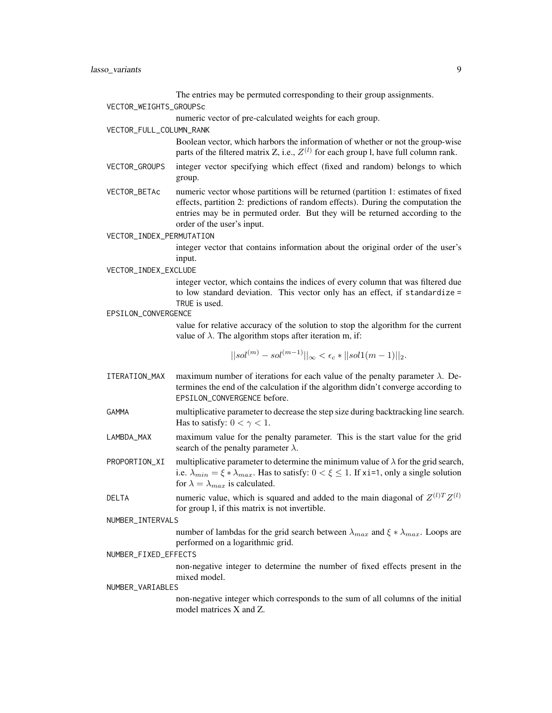numeric vector of pre-calculated weights for each group.

VECTOR\_FULL\_COLUMN\_RANK

VECTOR\_WEIGHTS\_GROUPSc

Boolean vector, which harbors the information of whether or not the group-wise parts of the filtered matrix Z, i.e.,  $Z^{(l)}$  for each group l, have full column rank.

- VECTOR\_GROUPS integer vector specifying which effect (fixed and random) belongs to which group.
- VECTOR\_BETAc numeric vector whose partitions will be returned (partition 1: estimates of fixed effects, partition 2: predictions of random effects). During the computation the entries may be in permuted order. But they will be returned according to the order of the user's input.

VECTOR\_INDEX\_PERMUTATION

integer vector that contains information about the original order of the user's input.

VECTOR\_INDEX\_EXCLUDE

integer vector, which contains the indices of every column that was filtered due to low standard deviation. This vector only has an effect, if standardize = TRUE is used.

EPSILON\_CONVERGENCE

value for relative accuracy of the solution to stop the algorithm for the current value of  $\lambda$ . The algorithm stops after iteration m, if:

$$
||sol^{(m)} - sol^{(m-1)}||_{\infty} < \epsilon_c * ||sol1(m-1)||_2.
$$

- ITERATION\_MAX maximum number of iterations for each value of the penalty parameter  $\lambda$ . Determines the end of the calculation if the algorithm didn't converge according to EPSILON\_CONVERGENCE before.
- GAMMA multiplicative parameter to decrease the step size during backtracking line search. Has to satisfy:  $0 < \gamma < 1$ .
- LAMBDA\_MAX maximum value for the penalty parameter. This is the start value for the grid search of the penalty parameter  $\lambda$ .
- PROPORTION\_XI multiplicative parameter to determine the minimum value of  $\lambda$  for the grid search, i.e.  $\lambda_{min} = \xi * \lambda_{max}$ . Has to satisfy:  $0 < \xi \leq 1$ . If xi=1, only a single solution for  $\lambda = \lambda_{max}$  is calculated.
- DELTA numeric value, which is squared and added to the main diagonal of  $Z^{(l)T}Z^{(l)}$ for group l, if this matrix is not invertible.

NUMBER\_INTERVALS

number of lambdas for the grid search between  $\lambda_{max}$  and  $\xi * \lambda_{max}$ . Loops are performed on a logarithmic grid.

NUMBER\_FIXED\_EFFECTS

non-negative integer to determine the number of fixed effects present in the mixed model.

#### NUMBER\_VARIABLES

non-negative integer which corresponds to the sum of all columns of the initial model matrices X and Z.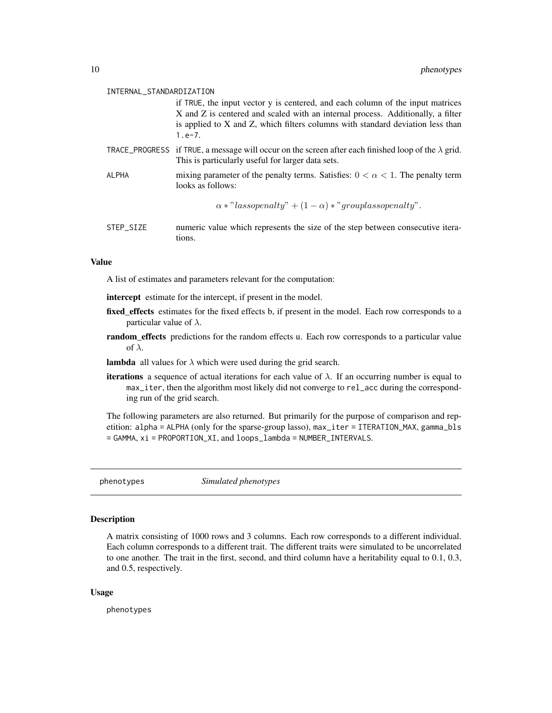#### <span id="page-9-0"></span>INTERNAL\_STANDARDIZATION

if TRUE, the input vector y is centered, and each column of the input matrices X and Z is centered and scaled with an internal process. Additionally, a filter is applied to X and Z, which filters columns with standard deviation less than 1.e-7.

- TRACE\_PROGRESS if TRUE, a message will occur on the screen after each finished loop of the  $\lambda$  grid. This is particularly useful for larger data sets.
- ALPHA mixing parameter of the penalty terms. Satisfies:  $0 < \alpha < 1$ . The penalty term looks as follows:

 $\alpha * "lass openalty" + (1 - \alpha) * "group lasso penalty".$ 

STEP\_SIZE numeric value which represents the size of the step between consecutive iterations.

# Value

A list of estimates and parameters relevant for the computation:

intercept estimate for the intercept, if present in the model.

- fixed\_effects estimates for the fixed effects b, if present in the model. Each row corresponds to a particular value of  $\lambda$ .
- random\_effects predictions for the random effects u. Each row corresponds to a particular value of  $\lambda$ .

**lambda** all values for  $\lambda$  which were used during the grid search.

**iterations** a sequence of actual iterations for each value of  $\lambda$ . If an occurring number is equal to max\_iter, then the algorithm most likely did not converge to rel\_acc during the corresponding run of the grid search.

The following parameters are also returned. But primarily for the purpose of comparison and repetition: alpha = ALPHA (only for the sparse-group lasso), max\_iter = ITERATION\_MAX, gamma\_bls = GAMMA, xi = PROPORTION\_XI, and loops\_lambda = NUMBER\_INTERVALS.

phenotypes *Simulated phenotypes*

### Description

A matrix consisting of 1000 rows and 3 columns. Each row corresponds to a different individual. Each column corresponds to a different trait. The different traits were simulated to be uncorrelated to one another. The trait in the first, second, and third column have a heritability equal to 0.1, 0.3, and 0.5, respectively.

#### Usage

phenotypes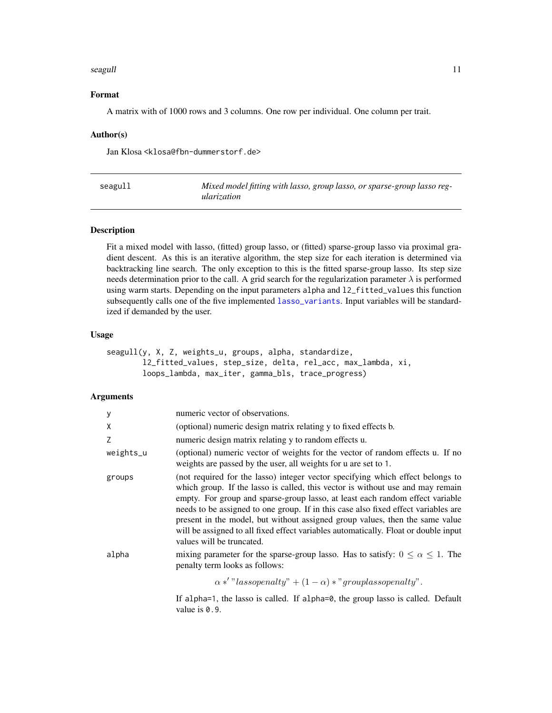#### <span id="page-10-0"></span>seagull and the seagull and the seagull and the seagull and the seagull and the seagull and the seagull and the seagull and the seagull and the seagull and the seagull and the seagull and the seagull and the seagull and th

# Format

A matrix with of 1000 rows and 3 columns. One row per individual. One column per trait.

#### Author(s)

Jan Klosa <klosa@fbn-dummerstorf.de>

| seagull | Mixed model fitting with lasso, group lasso, or sparse-group lasso reg- |
|---------|-------------------------------------------------------------------------|
|         | ularization                                                             |

#### Description

Fit a mixed model with lasso, (fitted) group lasso, or (fitted) sparse-group lasso via proximal gradient descent. As this is an iterative algorithm, the step size for each iteration is determined via backtracking line search. The only exception to this is the fitted sparse-group lasso. Its step size needs determination prior to the call. A grid search for the regularization parameter  $\lambda$  is performed using warm starts. Depending on the input parameters alpha and l2\_fitted\_values this function subsequently calls one of the five implemented [lasso\\_variants](#page-4-1). Input variables will be standardized if demanded by the user.

#### Usage

```
seagull(y, X, Z, weights_u, groups, alpha, standardize,
       l2_fitted_values, step_size, delta, rel_acc, max_lambda, xi,
       loops_lambda, max_iter, gamma_bls, trace_progress)
```
#### Arguments

| У         | numeric vector of observations.                                                                                                                                                                                                                                                                                                                                                                                                                                                                                                             |
|-----------|---------------------------------------------------------------------------------------------------------------------------------------------------------------------------------------------------------------------------------------------------------------------------------------------------------------------------------------------------------------------------------------------------------------------------------------------------------------------------------------------------------------------------------------------|
| χ         | (optional) numeric design matrix relating y to fixed effects b.                                                                                                                                                                                                                                                                                                                                                                                                                                                                             |
| Ζ         | numeric design matrix relating y to random effects u.                                                                                                                                                                                                                                                                                                                                                                                                                                                                                       |
| weights_u | (optional) numeric vector of weights for the vector of random effects u. If no<br>weights are passed by the user, all weights for u are set to 1.                                                                                                                                                                                                                                                                                                                                                                                           |
| groups    | (not required for the lasso) integer vector specifying which effect belongs to<br>which group. If the lasso is called, this vector is without use and may remain<br>empty. For group and sparse-group lasso, at least each random effect variable<br>needs to be assigned to one group. If in this case also fixed effect variables are<br>present in the model, but without assigned group values, then the same value<br>will be assigned to all fixed effect variables automatically. Float or double input<br>values will be truncated. |
| alpha     | mixing parameter for the sparse-group lasso. Has to satisfy: $0 \le \alpha \le 1$ . The<br>penalty term looks as follows:                                                                                                                                                                                                                                                                                                                                                                                                                   |
|           | $\alpha *''''$ lassopenalty" + $(1 - \alpha) *''$ grouplassopenalty".                                                                                                                                                                                                                                                                                                                                                                                                                                                                       |
|           | If alpha=1, the lasso is called. If alpha=0, the group lasso is called. Default<br>value is $0.9$ .                                                                                                                                                                                                                                                                                                                                                                                                                                         |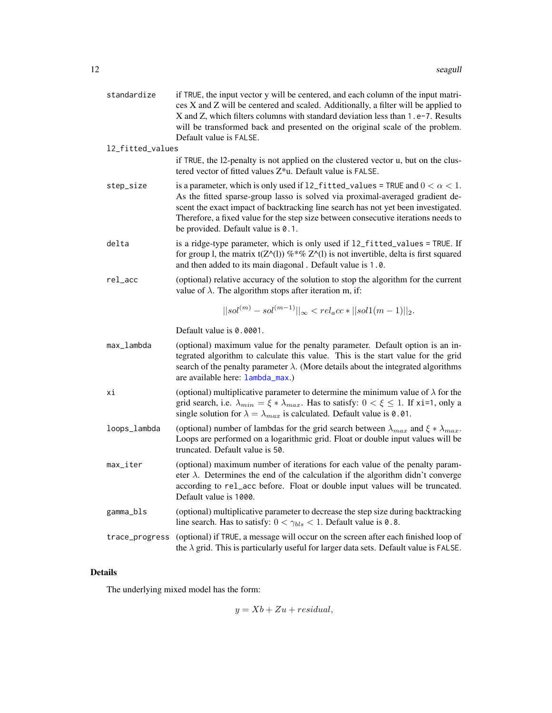<span id="page-11-0"></span>

| standardize      | if TRUE, the input vector y will be centered, and each column of the input matri-<br>ces X and Z will be centered and scaled. Additionally, a filter will be applied to<br>X and Z, which filters columns with standard deviation less than 1.e-7. Results<br>will be transformed back and presented on the original scale of the problem.<br>Default value is FALSE.                  |
|------------------|----------------------------------------------------------------------------------------------------------------------------------------------------------------------------------------------------------------------------------------------------------------------------------------------------------------------------------------------------------------------------------------|
| 12_fitted_values |                                                                                                                                                                                                                                                                                                                                                                                        |
|                  | if TRUE, the 12-penalty is not applied on the clustered vector u, but on the clus-<br>tered vector of fitted values Z*u. Default value is FALSE.                                                                                                                                                                                                                                       |
| step_size        | is a parameter, which is only used if 12_fitted_values = TRUE and $0 < \alpha < 1$ .<br>As the fitted sparse-group lasso is solved via proximal-averaged gradient de-<br>scent the exact impact of backtracking line search has not yet been investigated.<br>Therefore, a fixed value for the step size between consecutive iterations needs to<br>be provided. Default value is 0.1. |
| delta            | is a ridge-type parameter, which is only used if 12_fitted_values = TRUE. If<br>for group l, the matrix $t(Z^{\wedge}(l))$ %*% $Z^{\wedge}(l)$ is not invertible, delta is first squared<br>and then added to its main diagonal. Default value is 1.0.                                                                                                                                 |
| rel_acc          | (optional) relative accuracy of the solution to stop the algorithm for the current<br>value of $\lambda$ . The algorithm stops after iteration m, if:                                                                                                                                                                                                                                  |
|                  | $  sol^{(m)} - sol^{(m-1)}  _{\infty} < rel_{a}c c *   sol1(m-1)  _{2}.$                                                                                                                                                                                                                                                                                                               |
|                  | Default value is 0.0001.                                                                                                                                                                                                                                                                                                                                                               |
| max_lambda       | (optional) maximum value for the penalty parameter. Default option is an in-<br>tegrated algorithm to calculate this value. This is the start value for the grid<br>search of the penalty parameter $\lambda$ . (More details about the integrated algorithms<br>are available here: lambda_max.)                                                                                      |
| хi               | (optional) multiplicative parameter to determine the minimum value of $\lambda$ for the<br>grid search, i.e. $\lambda_{min} = \xi * \lambda_{max}$ . Has to satisfy: $0 < \xi \le 1$ . If xi=1, only a<br>single solution for $\lambda = \lambda_{max}$ is calculated. Default value is 0.01.                                                                                          |
| loops_lambda     | (optional) number of lambdas for the grid search between $\lambda_{max}$ and $\xi * \lambda_{max}$ .<br>Loops are performed on a logarithmic grid. Float or double input values will be<br>truncated. Default value is 50.                                                                                                                                                             |
| max_iter         | (optional) maximum number of iterations for each value of the penalty param-<br>eter $\lambda$ . Determines the end of the calculation if the algorithm didn't converge<br>according to rel_acc before. Float or double input values will be truncated.<br>Default value is 1000.                                                                                                      |
| gamma_bls        | (optional) multiplicative parameter to decrease the step size during backtracking<br>line search. Has to satisfy: $0 < \gamma_{bls} < 1$ . Default value is 0.8.                                                                                                                                                                                                                       |
|                  |                                                                                                                                                                                                                                                                                                                                                                                        |

# Details

The underlying mixed model has the form:

$$
y = Xb + Zu + residual,
$$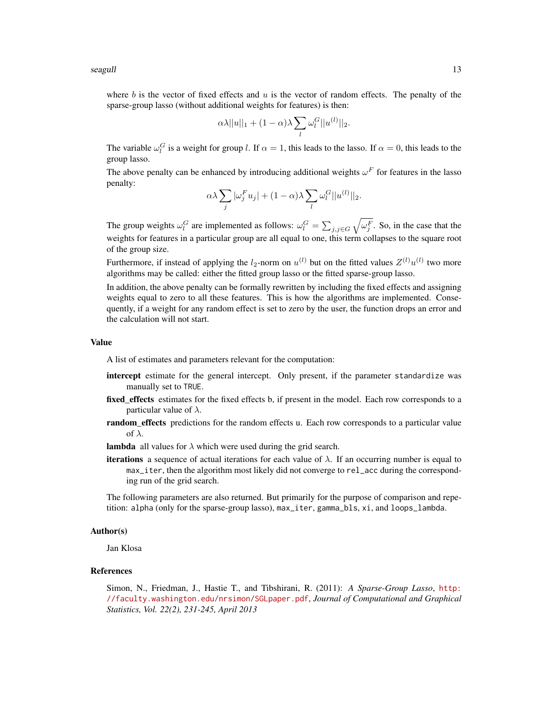#### seagull and the seagull and the seagull and the seagull and the seagull and the seagull and the seagull and the seagull and the seagull and the seagull and the seagull and the seagull and the seagull and the seagull and th

where  $b$  is the vector of fixed effects and  $u$  is the vector of random effects. The penalty of the sparse-group lasso (without additional weights for features) is then:

$$
\alpha\lambda||u||_1+(1-\alpha)\lambda\sum_l\omega_l^G||u^{(l)}||_2.
$$

The variable  $\omega_l^G$  is a weight for group *l*. If  $\alpha = 1$ , this leads to the lasso. If  $\alpha = 0$ , this leads to the group lasso.

The above penalty can be enhanced by introducing additional weights  $\omega^F$  for features in the lasso penalty:

$$
\alpha \lambda \sum_{j} |\omega_j^F u_j| + (1 - \alpha) \lambda \sum_{l} \omega_l^G ||u^{(l)}||_2.
$$

The group weights  $\omega_l^G$  are implemented as follows:  $\omega_l^G = \sum_{j,j \in G} \sqrt{\omega_j^F}$ . So, in the case that the weights for features in a particular group are all equal to one, this term collapses to the square root of the group size.

Furthermore, if instead of applying the  $l_2$ -norm on  $u^{(l)}$  but on the fitted values  $Z^{(l)}u^{(l)}$  two more algorithms may be called: either the fitted group lasso or the fitted sparse-group lasso.

In addition, the above penalty can be formally rewritten by including the fixed effects and assigning weights equal to zero to all these features. This is how the algorithms are implemented. Consequently, if a weight for any random effect is set to zero by the user, the function drops an error and the calculation will not start.

#### Value

A list of estimates and parameters relevant for the computation:

- intercept estimate for the general intercept. Only present, if the parameter standardize was manually set to TRUE.
- fixed effects estimates for the fixed effects b, if present in the model. Each row corresponds to a particular value of  $\lambda$ .
- **random\_effects** predictions for the random effects u. Each row corresponds to a particular value of λ.
- **lambda** all values for  $\lambda$  which were used during the grid search.
- **iterations** a sequence of actual iterations for each value of  $\lambda$ . If an occurring number is equal to max\_iter, then the algorithm most likely did not converge to rel\_acc during the corresponding run of the grid search.

The following parameters are also returned. But primarily for the purpose of comparison and repetition: alpha (only for the sparse-group lasso), max\_iter, gamma\_bls, xi, and loops\_lambda.

#### Author(s)

Jan Klosa

#### References

Simon, N., Friedman, J., Hastie T., and Tibshirani, R. (2011): *A Sparse-Group Lasso*, [http:](http://faculty.washington.edu/nrsimon/SGLpaper.pdf) [//faculty.washington.edu/nrsimon/SGLpaper.pdf](http://faculty.washington.edu/nrsimon/SGLpaper.pdf), *Journal of Computational and Graphical Statistics, Vol. 22(2), 231-245, April 2013*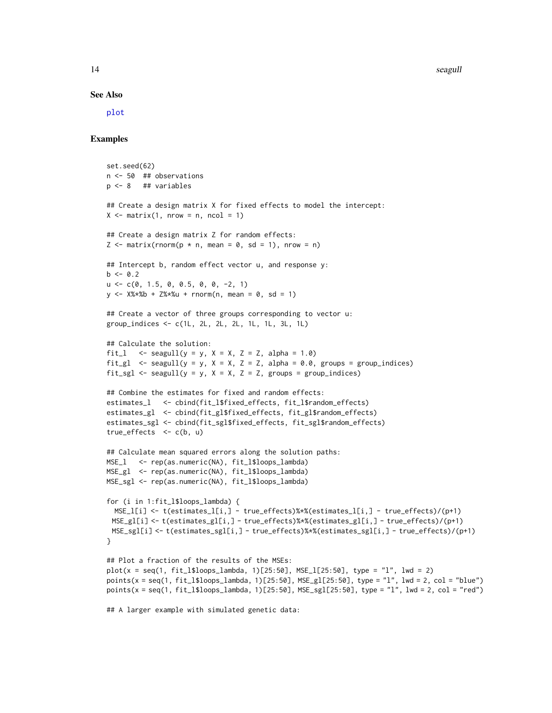14 seagull seagull seagull seagull seagull seagull seagull seagull seagull seagull seagull seagull seagull seagull

See Also

[plot](#page-0-0)

#### Examples

```
set.seed(62)
n <- 50 ## observations
p <- 8 ## variables
## Create a design matrix X for fixed effects to model the intercept:
X \leq matrix(1, nrow = n, ncol = 1)
## Create a design matrix Z for random effects:
Z \le - matrix(rnorm(p * n, mean = 0, sd = 1), nrow = n)
## Intercept b, random effect vector u, and response y:
b \leq -0.2u \leq -c(0, 1.5, 0, 0.5, 0, 0, -2, 1)y \le -x%*%b + Z%*%u + rnorm(n, mean = 0, sd = 1)
## Create a vector of three groups corresponding to vector u:
group_indices <- c(1L, 2L, 2L, 2L, 1L, 1L, 3L, 1L)
## Calculate the solution:
fit_1 \le seagull(y = y, X = X, Z = Z, alpha = 1.0)
fit_gl \le seagull(y = y, X = X, Z = Z, alpha = 0.0, groups = group_indices)
fit_sgl <- seagull(y = y, X = X, Z = Z, groups = group_indices)
## Combine the estimates for fixed and random effects:
estimates_l <- cbind(fit_l$fixed_effects, fit_l$random_effects)
estimates_gl <- cbind(fit_gl$fixed_effects, fit_gl$random_effects)
estimates_sgl <- cbind(fit_sgl$fixed_effects, fit_sgl$random_effects)
true_effects <- c(b, u)
## Calculate mean squared errors along the solution paths:
MSE_l <- rep(as.numeric(NA), fit_l$loops_lambda)
MSE_gl <- rep(as.numeric(NA), fit_l$loops_lambda)
MSE_sgl <- rep(as.numeric(NA), fit_l$loops_lambda)
for (i in 1:fit_l$loops_lambda) {
 MSE_l[i] <- t(estimates_l[i,] - true_effects)%*%(estimates_l[i,] - true_effects)/(p+1)
 MSE_gl[i] <- t(estimates_gl[i,] - true_effects)%*%(estimates_gl[i,] - true_effects)/(p+1)
 MSE_sgl[i] <- t(estimates_sgl[i,] - true_effects)%*%(estimates_sgl[i,] - true_effects)/(p+1)
}
## Plot a fraction of the results of the MSEs:
plot(x = seq(1, fit_1$loops_lambda, 1)[25:50], MSE_1[25:50], type = "l", lwd = 2)points(x = seq(1, fit\_1$loops\_lambda, 1)[25:50], MSE\_g1[25:50], type = "1", lwd = 2, col = "blue")points(x = seq(1, fit\_l$loops\_lambda, 1)[25:50], MSE\_sgl[25:50], type = "l", lwd = 2, col = "red")## A larger example with simulated genetic data:
```
<span id="page-13-0"></span>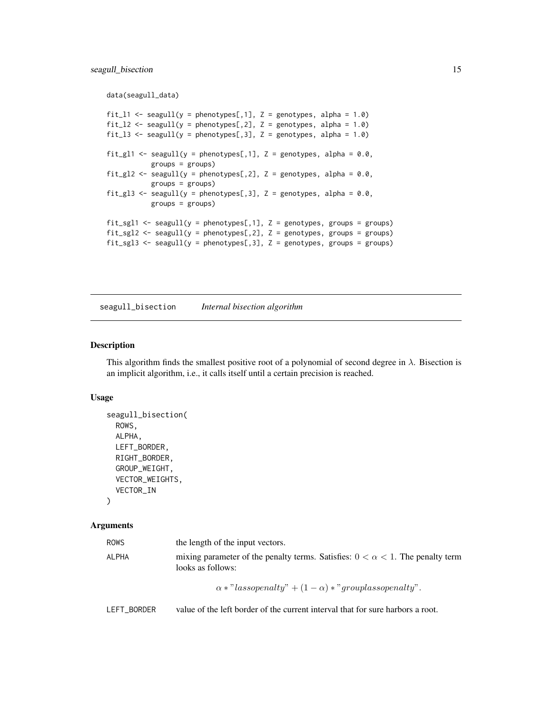# <span id="page-14-0"></span>seagull\_bisection 15

```
data(seagull_data)
```

```
fit_11 <- seagull(y = phenotypes[,1], Z = genotypes, alpha = 1.0)
fit_12 <- seagull(y = phenotypes[,2], Z = genotypes, alpha = 1.0)
fit_13 <- seagull(y = phenotypes[,3], Z = genotypes, alpha = 1.0)
fit_gl1 <- seagull(y = phenotypes[,1], Z = genotypes, alpha = 0.0,
           groups = groups)
fit_gl2 <- seagull(y = phenotypes[,2], Z = genotypes, alpha = 0.0,
           groups = groups)
fit_gl3 <- seagull(y = phenotypes[,3], Z = genotypes, alpha = 0.0,
           groups = groups)
fit_sgl1 <- seagull(y = phenotypes[,1], Z = genotypes, groups = groups)
fit_sgl2 <- seagull(y = phenotypes[,2], Z = genotypes, groups = groups)
fit_sgl3 <- seagull(y = phenotypes[,3], Z = genotypes, groups = groups)
```
<span id="page-14-1"></span>seagull\_bisection *Internal bisection algorithm*

#### Description

This algorithm finds the smallest positive root of a polynomial of second degree in  $\lambda$ . Bisection is an implicit algorithm, i.e., it calls itself until a certain precision is reached.

#### Usage

```
seagull_bisection(
 ROWS,
 ALPHA,
 LEFT_BORDER,
 RIGHT_BORDER,
 GROUP_WEIGHT,
 VECTOR_WEIGHTS,
  VECTOR_IN
```
)

#### Arguments

| ROWS  | the length of the input vectors.                                                                           |
|-------|------------------------------------------------------------------------------------------------------------|
| ALPHA | mixing parameter of the penalty terms. Satisfies: $0 < \alpha < 1$ . The penalty term<br>looks as follows: |
|       | $\alpha * "lass openalty" + (1 - \alpha) * "group lasso penalty".$                                         |

LEFT\_BORDER value of the left border of the current interval that for sure harbors a root.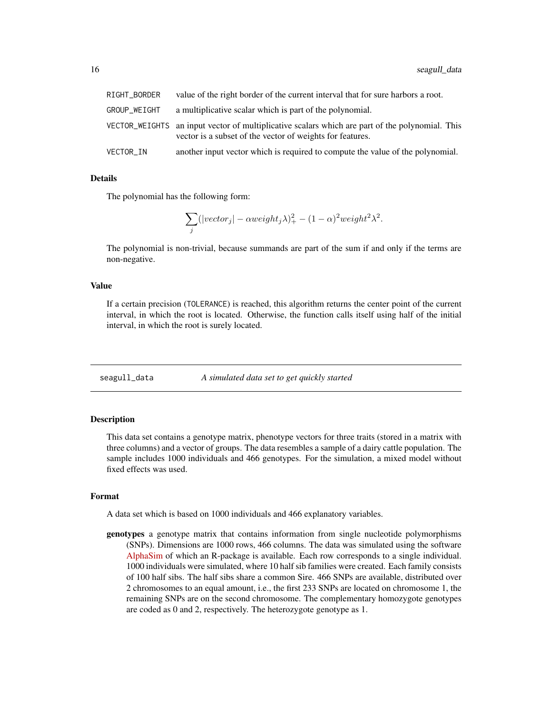<span id="page-15-0"></span>

| RIGHT BORDER | value of the right border of the current interval that for sure harbors a root.                                                                              |
|--------------|--------------------------------------------------------------------------------------------------------------------------------------------------------------|
| GROUP_WEIGHT | a multiplicative scalar which is part of the polynomial.                                                                                                     |
|              | VECTOR_WEIGHTS an input vector of multiplicative scalars which are part of the polynomial. This<br>vector is a subset of the vector of weights for features. |
| VECTOR IN    | another input vector which is required to compute the value of the polynomial.                                                                               |

#### Details

The polynomial has the following form:

$$
\sum_{j} (|vector_j| - \alpha weight_j \lambda)_+^2 - (1 - \alpha)^2 weight^2 \lambda^2.
$$

The polynomial is non-trivial, because summands are part of the sum if and only if the terms are non-negative.

#### Value

If a certain precision (TOLERANCE) is reached, this algorithm returns the center point of the current interval, in which the root is located. Otherwise, the function calls itself using half of the initial interval, in which the root is surely located.

| seagull_data | A simulated data set to get quickly started |  |
|--------------|---------------------------------------------|--|
|--------------|---------------------------------------------|--|

#### Description

This data set contains a genotype matrix, phenotype vectors for three traits (stored in a matrix with three columns) and a vector of groups. The data resembles a sample of a dairy cattle population. The sample includes 1000 individuals and 466 genotypes. For the simulation, a mixed model without fixed effects was used.

#### Format

A data set which is based on 1000 individuals and 466 explanatory variables.

genotypes a genotype matrix that contains information from single nucleotide polymorphisms (SNPs). Dimensions are 1000 rows, 466 columns. The data was simulated using the software [AlphaSim](https://alphagenes.roslin.ed.ac.uk) of which an R-package is available. Each row corresponds to a single individual. 1000 individuals were simulated, where 10 half sib families were created. Each family consists of 100 half sibs. The half sibs share a common Sire. 466 SNPs are available, distributed over 2 chromosomes to an equal amount, i.e., the first 233 SNPs are located on chromosome 1, the remaining SNPs are on the second chromosome. The complementary homozygote genotypes are coded as 0 and 2, respectively. The heterozygote genotype as 1.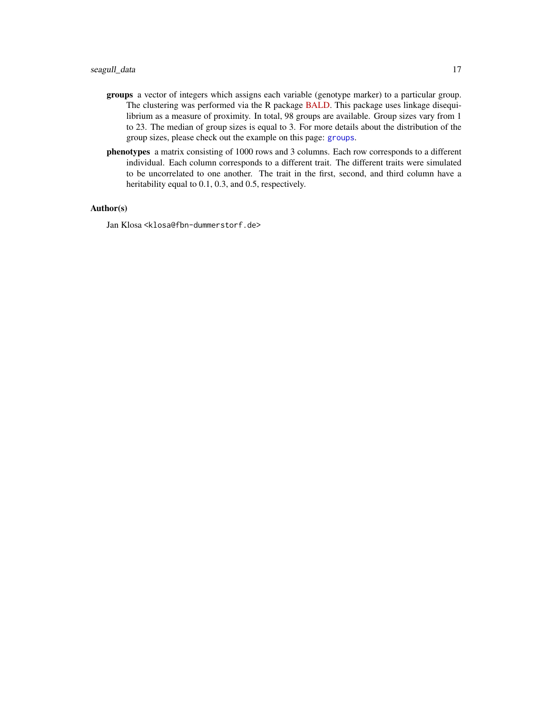- <span id="page-16-0"></span>groups a vector of integers which assigns each variable (genotype marker) to a particular group. The clustering was performed via the R package [BALD.](http://www.math-evry.cnrs.fr/publications/logiciels) This package uses linkage disequilibrium as a measure of proximity. In total, 98 groups are available. Group sizes vary from 1 to 23. The median of group sizes is equal to 3. For more details about the distribution of the group sizes, please check out the example on this page: [groups](#page-2-1).
- phenotypes a matrix consisting of 1000 rows and 3 columns. Each row corresponds to a different individual. Each column corresponds to a different trait. The different traits were simulated to be uncorrelated to one another. The trait in the first, second, and third column have a heritability equal to 0.1, 0.3, and 0.5, respectively.

#### Author(s)

Jan Klosa <klosa@fbn-dummerstorf.de>